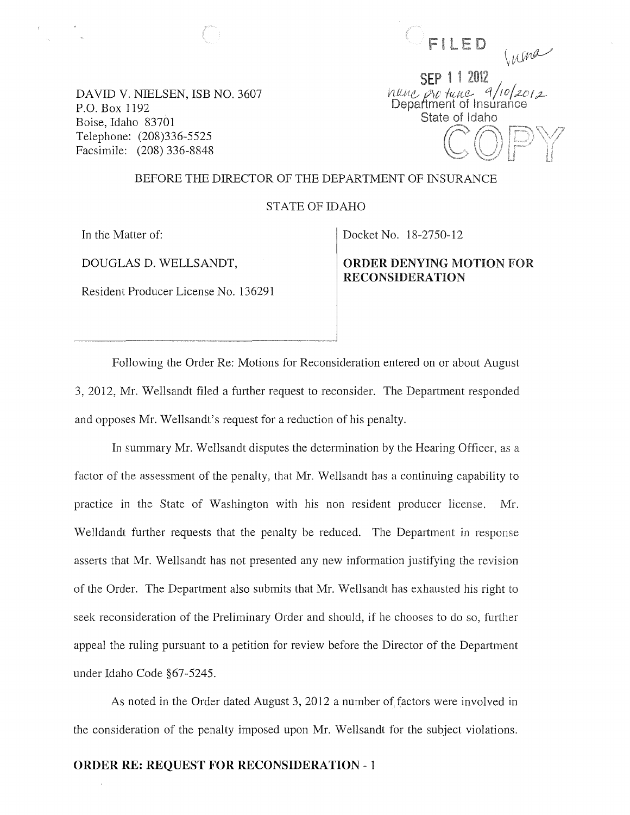FILED

DAVID V. NIELSEN, ISB NO. 3607 P.O. Box 1192 Boise, Idaho 83701 Telephone: (208)336-5525 Facsimile: (208) 336-8848

Inma SEP 1 1 2012<br>hung pro tance 9/10/2012<br>Department of Insurance State of Idaho

#### BEFORE THE DIRECTOR OF THE DEPARTMENT OF INSURANCE

STATE OF IDAHO

In the Matter of:

DOUGLAS D. WELLSANDT,

Resident Producer License No. 136291

Docket No. 18-2750-12

ORDER DENYING MOTION FOR **RECONSIDERATION** 

Following the Order Re: Motions for Reconsideration entered on or about August 3, 2012, Mr. Wellsandt filed a further request to reconsider. The Department responded and opposes Mr. Wellsandt's request for a reduction of his penalty.

In summary Mr. Wellsandt disputes the determination by the Hearing Officer, as a factor of the assessment of the penalty, that Mr. Wellsandt has a continuing capability to practice in the State of Washington with his non resident producer license. Mr. Welldandt further requests that the penalty be reduced. The Department in response asserts that Mr. Wellsandt has not presented any new information justifying the revision of the Order. The Department also submits that Mr. Wellsandt has exhausted his right to seek reconsideration of the Preliminary Order and should, if he chooses to do so, further appeal the ruling pursuant to a petition for review before the Director of the Department under Idaho Code §67-5245.

As noted in the Order dated August 3,2012 a number of factors were involved in the consideration of the penalty imposed upon Mr. Wellsandt for the subject violations.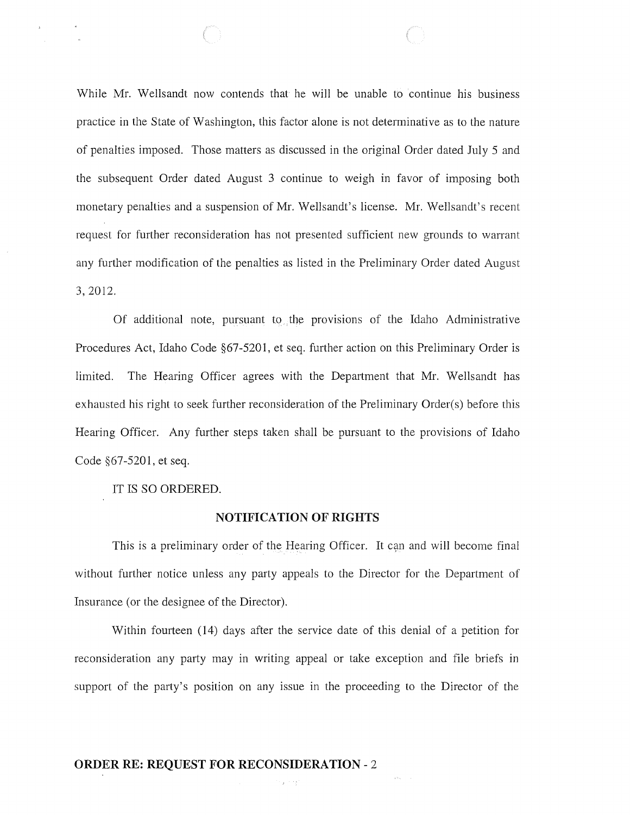While Mr. Wellsandt now contends that he will be unable to continue his business practice in the State of Washington, this factor alone is not determinative as to the nature of penalties imposed. Those matters as discussed in the original Order dated July 5 and the subsequent Order dated August 3 continue to weigh in favor of imposing both monetary penalties and a suspension of Mr. Wellsandt's license. Mr. Wellsandt's recent request for further reconsideration has not presented sufficient new grounds to warrant any further modification of the penalties as listed in the Preliminary Order dated August 3,2012.

Of additional note, pursuant to the provisions of the Idaho Administrative Procedures Act, Idaho Code §67-5201, et seq. further action on this Preliminary Order is limited. The Hearing Officer agrees with the Department that Mr. Wellsandt has exhausted his right to seek further reconsideration of the Preliminary Order(s) before this Hearing Officer. Any further steps taken shall be pursuant to the provisions of Idaho Code §67-5201, et seq.

IT IS SO ORDERED.

#### NOTIFICATION OF RIGHTS

This is a preliminary order of the Hearing Officer. It can and will become final without further notice unless any party appeals to the Director for the Department of Insurance (or the designee of the Director).

Within fourteen (14) days after the service date of this denial of a petition for reconsideration any party may in writing appeal or take exception and file briefs in support of the party's position on any issue in the proceeding to the Director of the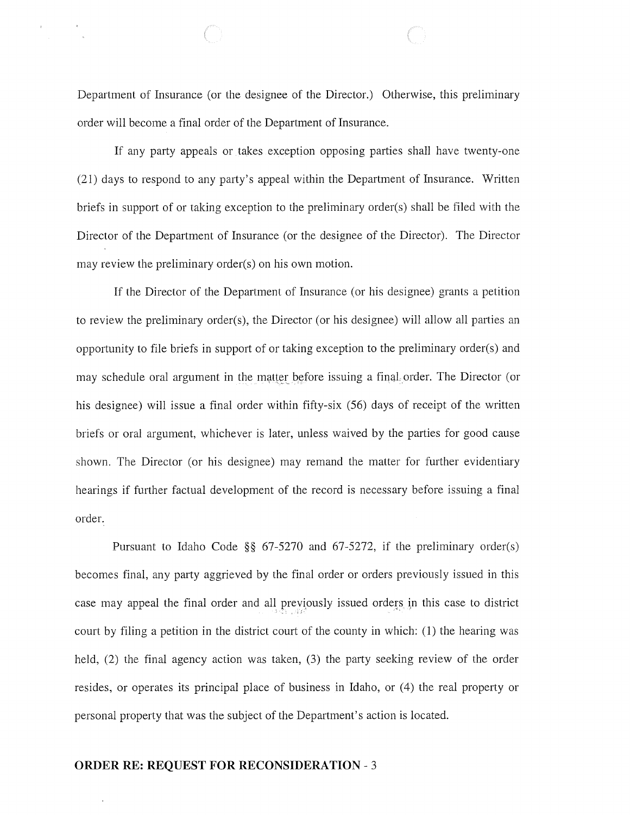Department of Insurance (or the designee of the Director.) Otherwise, this preliminary order will become a final order of the Department of Insurance.

If any party appeals or takes exception opposing parties shall have twenty-one (21) days to respond to any party's appeal within the Department of Insurance. Written briefs in support of or taking exception to the preliminary order(s) shall be filed with the Director of the Department of Insurance (or the designee of the Director). The Director may review the preliminary order(s) on his own motion.

If the Director of the Department of Insurance (or his designee) grants a petition to review the preliminary order(s), the Director (or his designee) will allow all parties an opportunity to file briefs in support of or taking exception to the preliminary order(s) and may schedule oral argument in the matter before issuing a final order. The Director (or his designee) will issue a final order within fifty-six (56) days of receipt of the written briefs or oral argument, whichever is later, unless waived by the parties for good cause shown. The Director (or his designee) may remand the matter for further evidentiary hearings if further factual development of the record is necessary before issuing a final order.

Pursuant to Idaho Code §§ 67-5270 and 67-5272, if the preliminary order(s) becomes final, any party aggrieved by the final order or orders previously issued in this case may appeal the final order and all previously issued orders in this case to district court by filing a petition in the district court of the county in which: (1) the hearing was held, (2) the final agency action was taken, (3) the party seeking review of the order resides, or operates its principal place of business in Idaho, or (4) the real property or personal property that was the subject of the Department's action is located.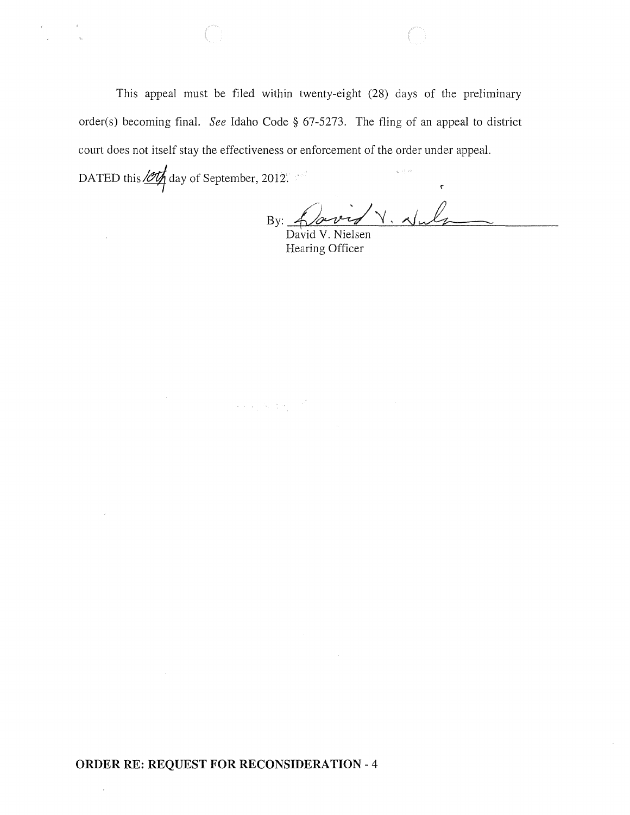This appeal must be filed within twenty-eight (28) days of the preliminary order(s) becoming final. *See* Idaho Code § 67-5273. The fling of an appeal to district court does not itself stay the effectiveness or enforcement of the order under appeal. DATED this  $\frac{100}{4}$  day of September, 2012.

 $\label{eq:1} \left\langle \left\langle \mathbf{v}_{\mathrm{c}}\right\rangle \right\rangle =\left\langle \mathbf{v}_{\mathrm{c}}\right\rangle \left\langle \mathbf{v}_{\mathrm{c}}\right\rangle \left\langle \mathbf{v}_{\mathrm{c}}\right\rangle \left\langle \mathbf{v}_{\mathrm{c}}\right\rangle \left\langle \mathbf{v}_{\mathrm{c}}\right\rangle \left\langle \mathbf{v}_{\mathrm{c}}\right\rangle \left\langle \mathbf{v}_{\mathrm{c}}\right\rangle \left\langle \mathbf{v}_{\mathrm{c}}\right\rangle \left\langle \mathbf{v}_{\mathrm{c}}\right\rangle \left\langle \mathbf{v}_{\mathrm{c$ 

By: <u>Lowe</u>

Hearing Officer

## **ORDER RE: REQUEST FOR RECONSIDERATION** - 4

 $\bar{z}$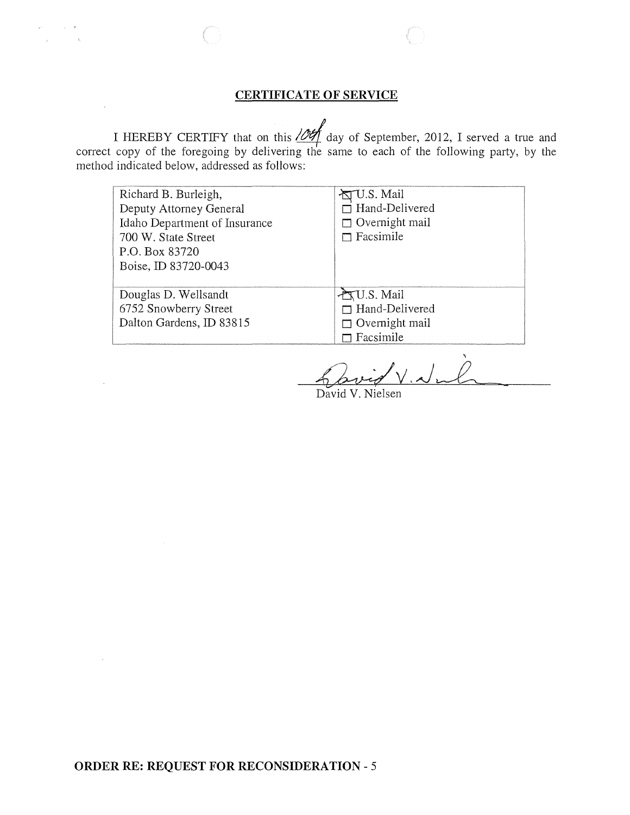## **CERTIFICATE OF SERVICE**

 $\label{eq:2.1} \rho^{\alpha\beta} = \gamma^{\alpha\beta} = \gamma^{\alpha\beta} = \Psi$  $\mathcal{L}_{\mathcal{L}}$  , and  $\mathcal{L}_{\mathcal{L}}$ 

 $\sim 10$ 

 $\sim$ 

 $\sim$  .

I HEREBY CERTIFY that on this  $\sqrt{\frac{df}{dx}}$  day of September, 2012, I served a true and correct copy of the foregoing by delivering the same to each of the following party, by the method indicated below, addressed as follows:

| Richard B. Burleigh,<br>Deputy Attorney General<br>Idaho Department of Insurance<br>700 W. State Street<br>P.O. Box 83720<br>Boise, ID 83720-0043 | 卤U.S. Mail<br>$\Box$ Hand-Delivered<br>$\Box$ Overnight mail<br>$\Box$ Facsimile |
|---------------------------------------------------------------------------------------------------------------------------------------------------|----------------------------------------------------------------------------------|
| Douglas D. Wellsandt<br>6752 Snowberry Street<br>Dalton Gardens, ID 83815                                                                         | U.S. Mail<br>$\Box$ Hand-Delivered<br>$\Box$ Overnight mail<br>$\Box$ Facsimile  |

Vival

David V. Nielsen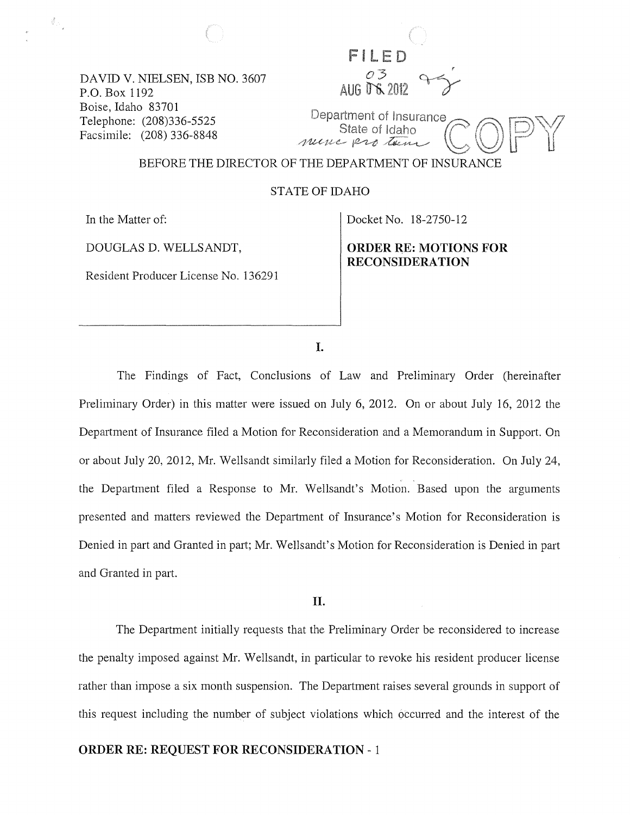DAVID V. NIELSEN, ISB NO. 3607 P.O. Box 1192 Boise, Idaho 83701 Telephone: (208)336-5525 Facsimile: (208) 336-8848

FILET **AUG D'S 2012** Department of Insurance

BEFORE THE DIRECTOR OF THE DEPARTMENT OF INSURANCE

STATE OF IDAHO

In the Matter of:

 $\frac{d}{dt}$  ,

DOUGLAS D. WELLSANDT,

Resident Producer License No. 136291

Docket No. 18-2750-12

State of Idaho

nunc protein

**ORDER RE: MOTIONS FOR RECONSIDERA TION** 

I.

The Findings of Fact, Conclusions of Law and Preliminary Order (hereinafter Preliminary Order) in this matter were issued on July 6, 2012. On or about July 16, 2012 the Department of Insurance filed a Motion for Reconsideration and a Memorandum in Support. On or about July 20,2012, Mr. Wellsandt similarly filed a Motion for Reconsideration. On July 24, the Department filed a Response to Mr. Wellsandt's Motion. Based upon the arguments presented and matters reviewed the Department of Insurance's Motion for Reconsideration is Denied in part and Granted in part; Mr. Wellsandt's Motion for Reconsideration is Denied in part and Granted in part.

**II.** 

The Department initially requests that the Preliminary Order be reconsidered to increase the penalty imposed against Mr. Wellsandt, in particular to revoke his resident producer license rather than impose a six month suspension. The Department raises several grounds in support of this request including the number of subject violations which occurred and the interest of the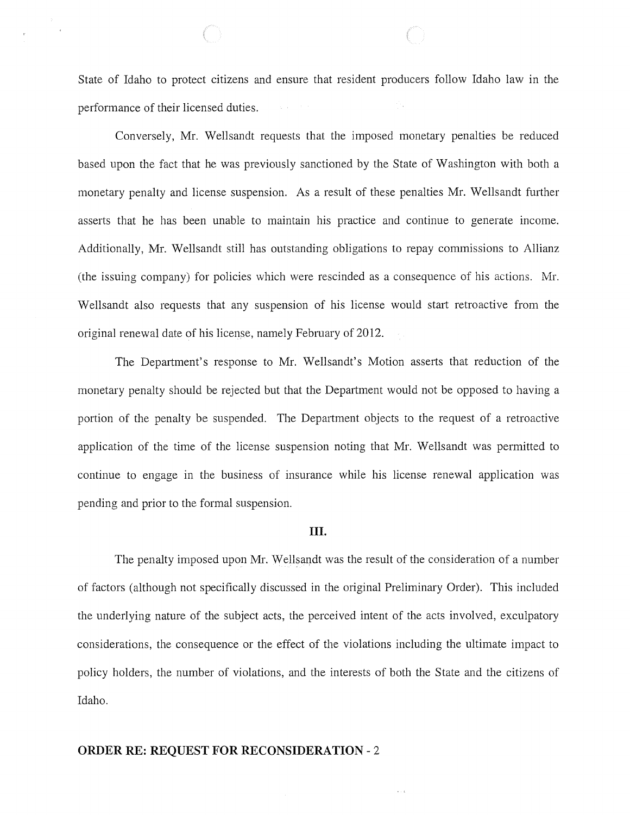State of Idaho to protect citizens and ensure that resident producers follow Idaho law in the performance of their licensed duties.

Conversely, Mr. Wellsandt requests that the imposed monetary penalties be reduced based upon the fact that he was previously sanctioned by the State of Washington with both a monetary penalty and license suspension. As a result of these penalties Mr. Wellsandt further asserts that he has been unable to maintain his practice and continue to generate income. Additionally, Mr. Wellsandt still has outstanding obligations to repay commissions to Allianz (the issuing company) for policies which were rescinded as a consequence of his actions. Mr. Wellsandt also requests that any suspension of his license would start retroactive from the original renewal date of his license, namely February of 2012.

The Department's response to Mr. Wellsandt's Motion asserts that reduction of the monetary penalty should be rejected but that the Department would not be opposed to having a portion of the penalty be suspended. The Department objects to the request of a retroactive application of the time of the license suspension noting that Mr. Wellsandt was permitted to continue to engage in the business of insurance while his license renewal application was pending and prior to the formal suspension.

#### **III.**

The penalty imposed upon Mr. Wellsaqdt was the result of the consideration of a number of factors (although not specifically discussed in the original Preliminary Order). This included the underlying nature of the subject acts, the perceived intent of the acts involved, exculpatory considerations, the consequence or the effect of the violations including the ultimate impact to policy holders, the number of violations, and the interests of both the State and the citizens of Idaho.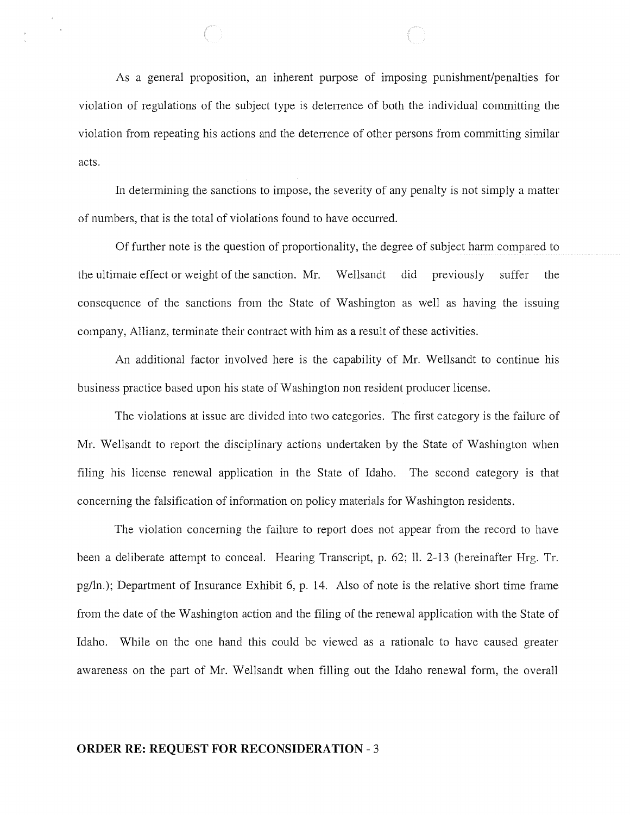As a general proposition, an inherent purpose of imposing punishment/penalties for violation of regulations of the subject type is deterrence of both the individual committing the violation from repeating his actions and the deterrence of other persons from committing similar acts.

**In** determining the sanctions to impose, the severity of any penalty is not simply a matter of numbers, that is the total of violations found to have occurred.

Of further note is the question of proportionality, the degree of subject harm compared to the ultimate effect or weight of the sanction. Mr. Wellsandt did previously suffer the consequence of the sanctions from the State of Washington as well as having the issuing company, Allianz, terminate their contract with him as a result of these activities.

An additional factor involved here is the capability of Mr. Wellsandt to continue his business practice based upon his state of Washington non resident producer license.

The violations at issue are divided into two categories. The first category is the failure of Mr. Wellsandt to report the disciplinary actions undertaken by the State of Washington when filing his license renewal application in the State of Idaho. The second category is that concerning the falsification of information on policy materials for Washington residents.

The violation concerning the failure to report does not appear from the record to have been a deliberate attempt to conceal. Hearing Transcript, p. 62; 11. 2-13 (hereinafter Hrg. Tr. pg/ln.); Department of Insurance Exhibit 6, p. 14. Also of note is the relative short time frame from the date of the Washington action and the filing of the renewal application with the State of Idaho. While on the one hand this could be viewed as a rationale to have caused greater awareness on the part of Mr. Wellsandt when filling out the Idaho renewal form, the overall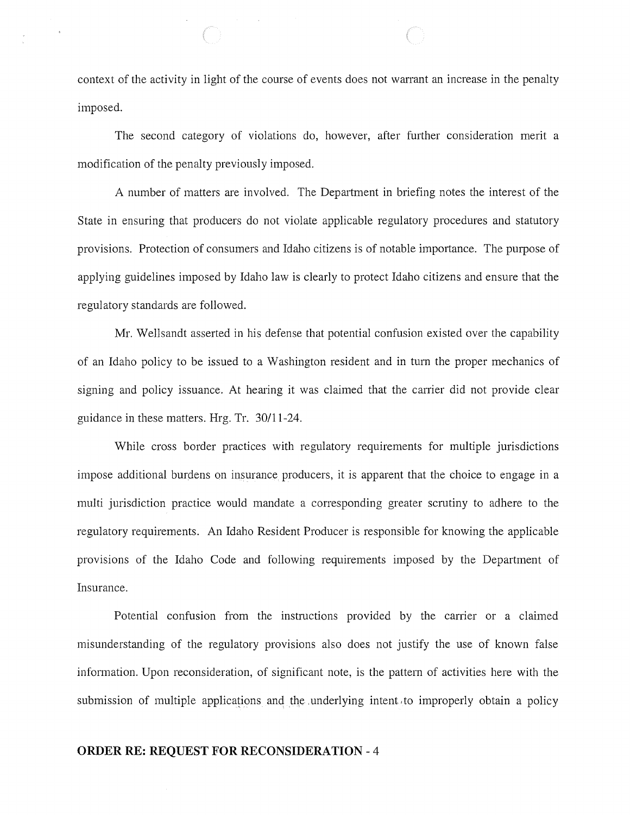context of the activity in light of the course of events does not warrant an increase in the penalty imposed.

 $\bar{z}$ 

The second category of violations do, however, after further consideration merit a modification of the penalty previously imposed.

A number of matters are involved. The Department in briefing notes the interest of the State in ensuring that producers do not violate applicable regulatory procedures and statutory provisions. Protection of consumers and Idaho citizens is of notable importance. The purpose of applying guidelines imposed by Idaho law is clearly to protect Idaho citizens and ensure that the regulatory standards are followed.

Mr. Wellsandt asserted in his defense that potential confusion existed over the capability of an Idaho policy to be issued to a Washington resident and in turn the proper mechanics of signing and policy issuance. At hearing it was claimed that the carrier did not provide clear guidance in these matters. Hrg. Tr. 30111-24.

While cross border practices with regulatory requirements for multiple jurisdictions impose additional burdens on insurance producers, it is apparent that the choice to engage in a multi jurisdiction practice would mandate a corresponding greater scrutiny to adhere to the regulatory requirements. An Idaho Resident Producer is responsible for knowing the applicable provisions of the Idaho Code and following requirements imposed by the Department of Insurance.

Potential confusion from the instructions provided by the carrier or a claimed misunderstanding of the regulatory provisions also does not justify the use of known false information. Upon reconsideration, of significant note, is the pattern of activities here with the submission of multiple applications and the, underlying intent, to improperly obtain a policy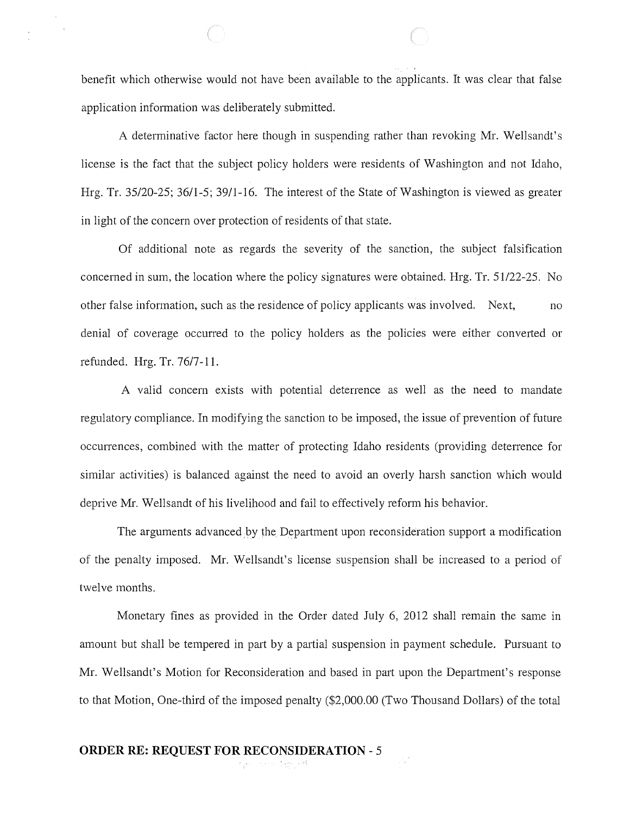benefit which otherwise would not have been available to the applicants. It was clear that false application information was deliberately submitted.

A determinative factor here though in suspending rather than revoking Mr. Wellsandt's license is the fact that the subject policy holders were residents of Washington and not Idaho, Hrg. Tr. 35/20-25; 36/1-5; 39/1-16. The interest of the State of Washington is viewed as greater in light of the concern over protection of residents of that state.

Of additional note as regards the severity of the sanction, the subject falsification concerned in sum, the location where the policy signatures were obtained. Hrg. Tr. 51/22-25. No other false information, such as the residence of policy applicants was involved. Next, no denial of coverage occurred to the policy holders as the policies were either converted or refunded. Hrg. Tr. 7617-11.

A valid concern exists with potential deterrence as well as the need to mandate regulatory compliance. In modifying the sanction to be imposed, the issue of prevention of future occurrences, combined with the matter of protecting Idaho residents (providing deterrence for similar activities) is balanced against the need to avoid an overly harsh sanction which would deprive Mr. Wellsandt of his livelihood and fail to effectively reform his behavior.

The arguments advanced by the Department upon reconsideration support a modification of the penalty imposed. Mr. Wellsandt's license suspension shall be increased to a period of twelve months.

Monetary fines as provided in the Order dated July 6, 2012 shall remain the same in amount but shall be tempered in part by a partial suspension in payment schedule. Pursuant to Mr. Wellsandt's Motion for Reconsideration and based in part upon the Department's response to that Motion, One-third of the imposed penalty (\$2,000.00 (Two Thousand Dollars) of the total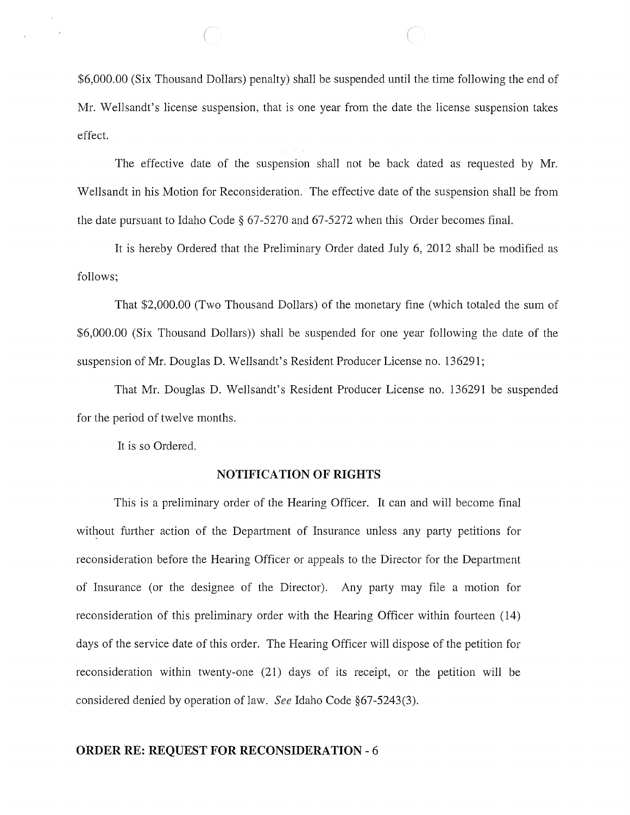\$6,000.00 (Six Thousand Dollars) penalty) shall be suspended until the time following the end of Mr. Wellsandt's license suspension, that is one year from the date the license suspension takes effect.

The effective date of the suspension shall not be back dated as requested by Mr. Wellsandt in his Motion for Reconsideration. The effective date of the suspension shall be from the date pursuant to Idaho Code § 67-5270 and 67-5272 when this Order becomes final.

It is hereby Ordered that the Preliminary Order dated July 6, 2012 shall be modified as follows;

That \$2,000.00 (Two Thousand Dollars) of the monetary fine (which totaled the sum of \$6,000.00 (Six Thousand Dollars)) shall be suspended for one year following the date of the suspension of Mr. Douglas D. Wellsandt's Resident Producer License no. 136291;

That Mr. Douglas D. Wellsandt's Resident Producer License no. 136291 be suspended for the period of twelve months.

It is so Ordered.

#### **NOTIFICATION OF RIGHTS**

This is a preliminary order of the Hearing Officer. It can and will become final without further action of the Department of Insurance unless any party petitions for reconsideration before the Hearing Officer or appeals to the Director for the Department of Insurance (or the designee of the Director). Any party may file a motion for reconsideration of this preliminary order with the Hearing Officer within fourteen (14) days of the service date of this order. The Hearing Officer will dispose of the petition for reconsideration within twenty-one (21) days of its receipt, or the petition will be considered denied by operation of law. *See* Idaho Code §67-5243(3).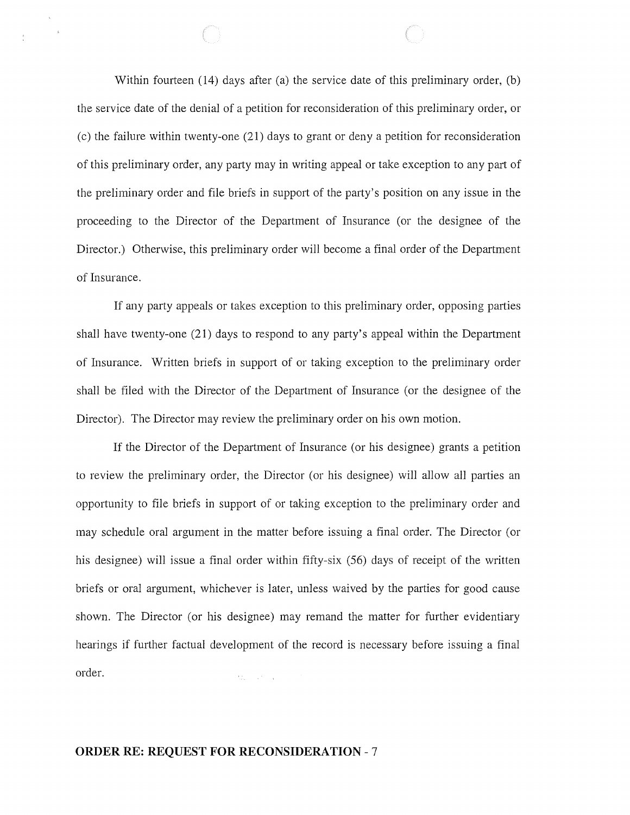Within fourteen (14) days after (a) the service date of this preliminary order, (b) the service date of the denial of a petition for reconsideration of this preliminary order, or (c) the failure within twenty-one (21) days to grant or deny a petition for reconsideration of this preliminary order, any party may in writing appeal or take exception to any part of the preliminary order and file briefs in support of the party's position on any issue in the proceeding to the Director of the Department of Insurance (or the designee of the Director.) Otherwise, this preliminary order will become a final order of the Department of Insurance.

If any party appeals or takes exception to this preliminary order, opposing parties shall have twenty-one (21) days to respond to any party's appeal within the Department of Insurance. Written briefs in support of or taking exception to the preliminary order shall be filed with the Director of the Department of Insurance (or the designee of the Director). The Director may review the preliminary order on his own motion.

If the Director of the Department of Insurance (or his designee) grants a petition to review the preliminary order, the Director (or his designee) will allow all parties an opportunity to file briefs in support of or taking exception to the preliminary order and may schedule oral argument in the matter before issuing a final order. The Director (or his designee) will issue a final order within fifty-six (56) days of receipt of the written briefs or oral argument, whichever is later, unless waived by the parties for good cause shown. The Director (or his designee) may remand the matter for further evidentiary hearings if further factual development of the record is necessary before issuing a final order. And Care Car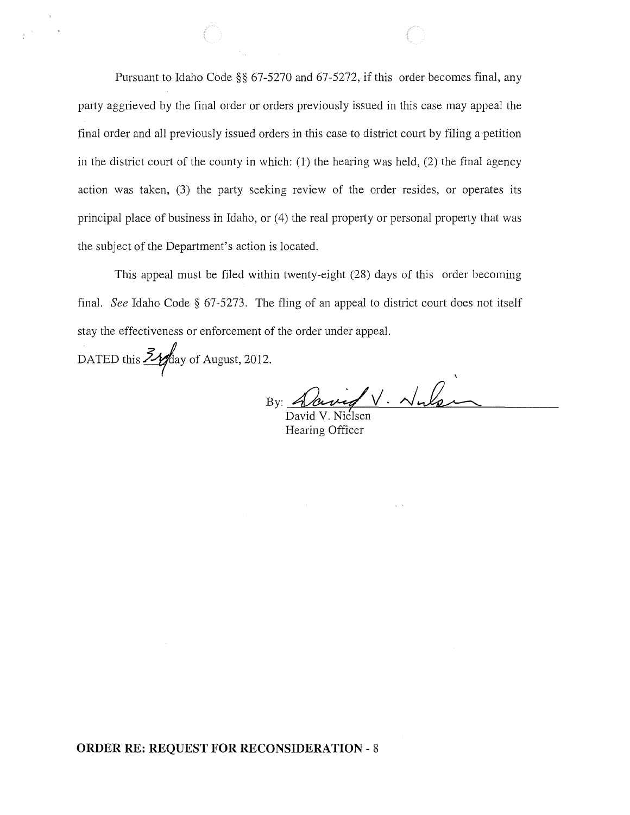Pursuant to Idaho Code §§ 67-5270 and 67-5272, if this order becomes final, any party aggrieved by the final order or orders previously issued in this case may appeal the final order and all previously issued orders in this case to district court by filing a petition in the district court of the county in which: (1) the hearing was held, (2) the final agency action was taken, (3) the party seeking review of the order resides, or operates its principal place of business in Idaho, or (4) the real property or personal property that was the subject of the Department's action is located.

This appeal must be filed within twenty-eight (28) days of this order becoming final. *See* Idaho Code § 67-5273. The fling of an appeal to district court does not itself stay the effectiveness or enforcement of the order under appeal.

DATED this  $\frac{\text{Zy}}{\text{y}}$ day of August, 2012.

By:  $A$ aved  $V$ .  $\n *N*$ 

David V. Nielsen Hearing Officer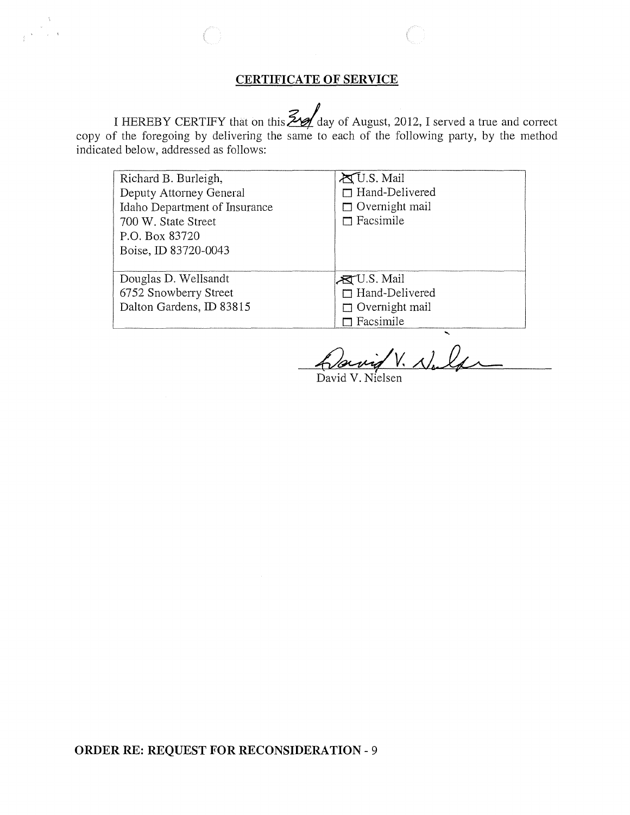# **CERTIFICATE OF SERVICE**

I HEREBY CERTIFY that on this  $\frac{24}{4}$  day of August, 2012, I served a true and correct copy of the foregoing by delivering the same to each of the following party, by the method indicated below, addressed as follows:

| Richard B. Burleigh,          | <b>AU.S. Mail</b>      |
|-------------------------------|------------------------|
| Deputy Attorney General       | $\Box$ Hand-Delivered  |
| Idaho Department of Insurance | $\Box$ Overnight mail  |
| 700 W. State Street           | $\Box$ Facsimile       |
| P.O. Box 83720                |                        |
| Boise, ID 83720-0043          |                        |
|                               |                        |
| Douglas D. Wellsandt          | $\mathbb{R}$ U.S. Mail |
| 6752 Snowberry Street         | $\Box$ Hand-Delivered  |
| Dalton Gardens, ID 83815      | $\Box$ Overnight mail  |
|                               | Facsimile              |

avid V. Nald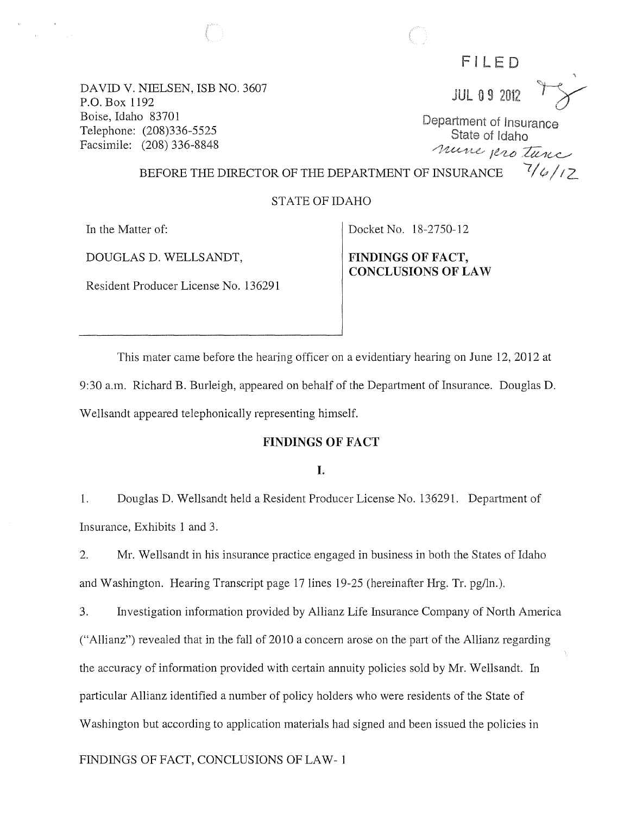FILED

**JUL 09 2012** 

Department of Insurance State of Idaho nune protunc  $7/6/12$ 

DAVID V. NIELSEN, ISB NO. 3607 P.O. Box 1192 Boise, Idaho 83701 Telephone: (208)336-5525 Facsimile: (208) 336-8848

### BEFORE THE DIRECTOR OF THE DEPARTMENT OF INSURANCE

## STATE OF IDAHO

In the Matter of:

DOUGLAS D. WELLSANDT,

Resident Producer License No. 136291

Docket No. 18-2750-12

FINDINGS OF FACT, CONCLUSIONS OF LAW

This mater came before the hearing officer on a evidentiary hearing on June 12, 2012 at 9:30 a.m. Richard B. Burleigh, appeared on behalf of the Department of Insurance. Douglas D. Wellsandt appeared telephonically representing himself.

### FINDINGS OF FACT

### I.

1. Douglas D. Wellsandt held a Resident Producer License No. 136291. Department of Insurance, Exhibits 1 and 3.

2. Mr. Wellsandt in his insurance practice engaged in business in both the States of Idaho and Washington. Hearing Transcript page 17 lines 19-25 (hereinafter Hrg. Tr. pg/ln.).

3. Investigation information provided by Allianz Life Insurance Company of North America ("Allianz") revealed that in the fall of 2010 a concern arose on the part of the AlIianz regarding the accuracy of information provided with certain annuity policies sold by Mr. Wellsandt. In particular Allianz identified a number of policy holders who were residents of the State of Washington but according to application materials had signed and been issued the policies in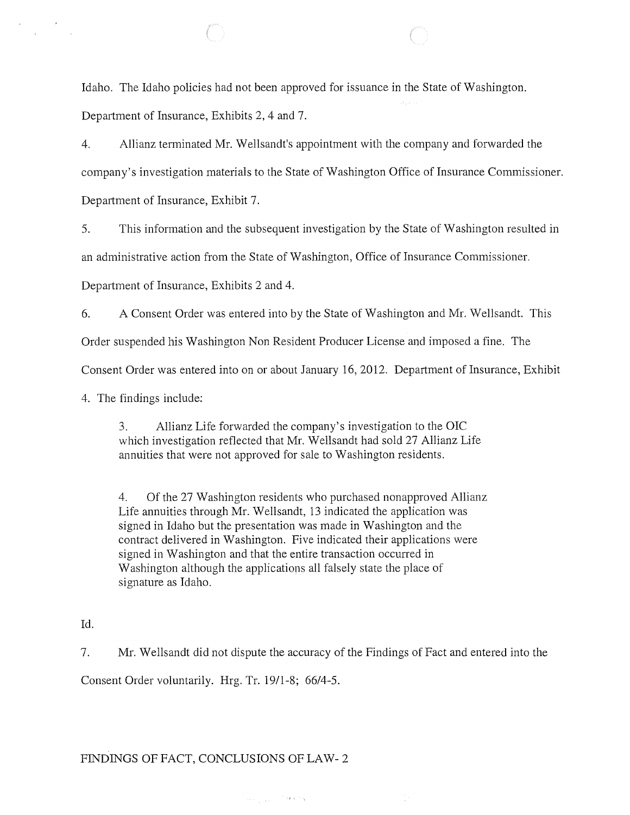Idaho. The Idaho policies had not been approved for issuance in the State of Washington. Department of Insurance, Exhibits 2, 4 and 7.

4. Allianz terminated Mr. Wellsandt's appointment with the company and forwarded the company's investigation materials to the State of Washington Office of Insurance Commissioner. Department of Insurance, Exhibit 7.

5. This information and the subsequent investigation by the State of Washington resulted in an administrative action from the State of Washington, Office of Insurance Commissioner.

Department of Insurance, Exhibits 2 and 4.

6. A Consent Order was entered into by the State of Washington and Mr. Wellsandt. This

Order suspended his Washington Non Resident Producer License and imposed a fine. The

Consent Order was entered into on or about January 16, 2012. Department of Insurance, Exhibit

4. The findings include:

3. Allianz Life forwarded the company's investigation to the OIC which investigation reflected that Mr. Wellsandt had sold 27 Allianz Life annuities that were not approved for sale to Washington residents.

4. Of the 27 Washington residents who purchased nonapproved Allianz Life annuities through Mr. Wellsandt, 13 indicated the application was signed in Idaho but the presentation was made in Washington and the contract delivered in Washington. Five indicated their applications were signed in Washington and that the entire transaction occurred in Washington although the applications all falsely state the place of signature as Idaho.

Id.

 $\mathbf{r}$ 

7. Mr. Wellsandt did not dispute the accuracy of the Findings of Fact and entered into the Consent Order voluntarily. Hrg. Tr. 19/1-8; 66/4-5.

 $\mathcal{L}_{\text{max}} = 100$  M and  $\mathcal{L}_{\text{max}}$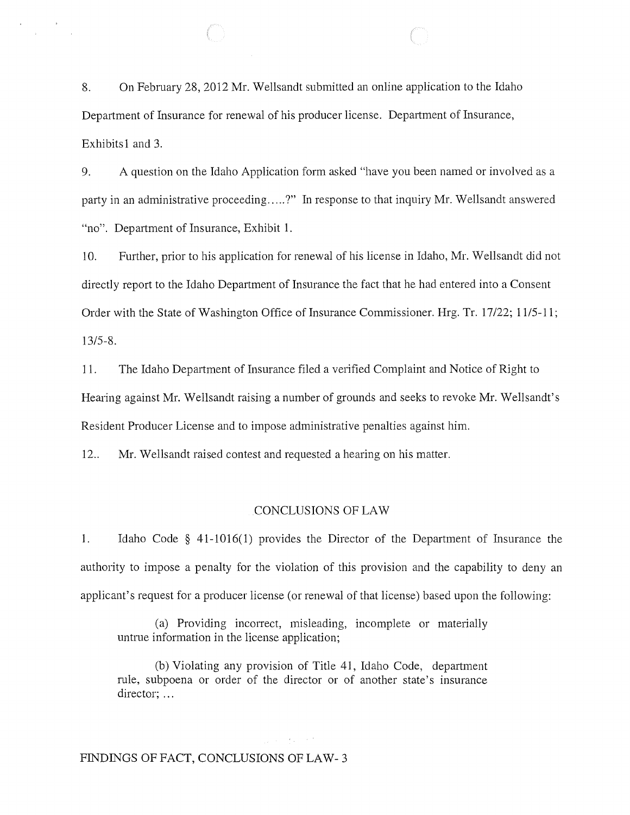8. On February 28,2012 Mr. Wellsandt submitted an online application to the Idaho Department of Insurance for renewal of his producer license. Department of Insurance, Exhibits 1 and 3.

9. A question on the Idaho Application form asked "have you been named or involved as a party in an administrative proceeding.....?" In response to that inquiry Mr. Wellsandt answered "no". Department of Insurance, Exhibit 1.

10. Further, prior to his application for renewal of his license in Idaho, Mr. Wellsandt did not directly report to the Idaho Department of Insurance the fact that he had entered into a Consent Order with the State of Washington Office of Insurance Commissioner. Hrg. Tr. 17122; 1115-11; 13/5-8.

11. The Idaho Department of Insurance filed a verified Complaint and Notice of Right to Hearing against Mr. Wellsandt raising a number of grounds and seeks to revoke Mr. Wellsandt's Resident Producer License and to impose administrative penalties against him.

12.. Mr. Wellsandt raised contest and requested a hearing on his matter.

#### CONCLUSIONS OF LAW

1. Idaho Code § 41-1016(1) provides the Director of the Department of Insurance the authority to impose a penalty for the violation of this provision and the capability to deny an applicant's request for a producer license (or renewal of that license) based upon the following:

(a) Providing incorrect, misleading, incomplete or materially untrue information in the license application;

(b) Violating any provision of Title 41, Idaho Code, department rule, subpoena or order of the director or of another state's insurance director; ...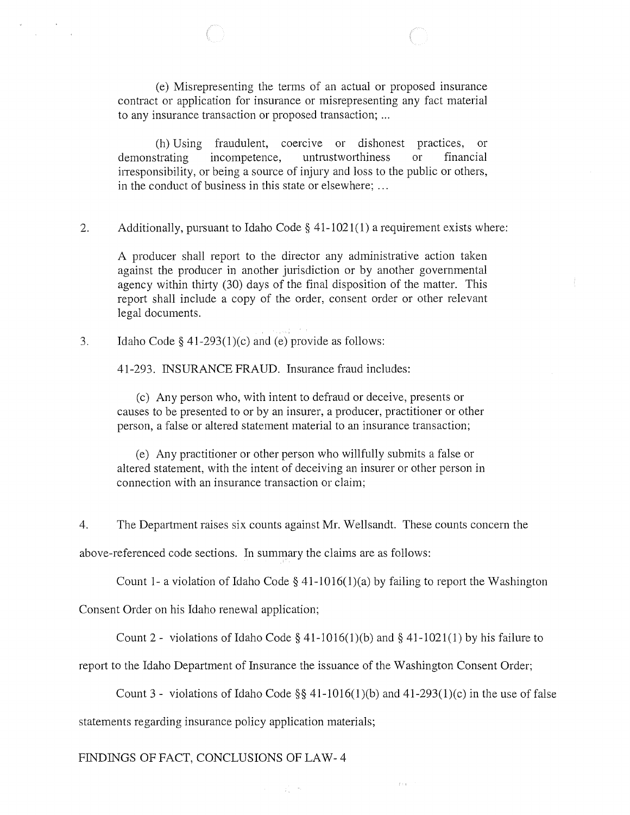(e) Misrepresenting the terms of an actual or proposed insurance contract or application for insurance or misrepresenting any fact material to any insurance transaction or proposed transaction; ...

(h) Using fraudulent, coercive or dishonest practices, or demonstrating incompetence, untrustworthiness or financial irresponsibility, or being a source of injury and loss to the public or others, in the conduct of business in this state or elsewhere; ...

2. Additionally, pursuant to Idaho Code § 41-1021(1) a requirement exists where:

A producer shall report to the director any administrative action taken against the producer in another jurisdiction or by another governmental agency within thirty (30) days of the final disposition of the matter. This report shall include a copy of the order, consent order or other relevant legal documents.

3. Idaho Code  $\S$  41-293(1)(c) and (e) provide as follows:

 $\frac{1}{3}$ 

41-293. INSURANCE FRAUD. Insurance fraud includes:

(c) Any person who, with intent to defraud or deceive, presents or causes to be presented to or by an insurer, a producer, practitioner or other person, a false or altered statement material to an insurance transaction;

(e) Any practitioner or other person who willfully submits a false or altered statement, with the intent of deceiving an insurer or other person in connection with an insurance transaction or claim;

4. The Department raises six counts against Mr. Wellsandt. These counts concern the

above-referenced code sections. In summary the claims are as follows:

Count 1- a violation of Idaho Code § 41-1016(1)(a) by failing to report the Washington

Consent Order on his Idaho renewal application;

Count 2 - violations of Idaho Code § 41-1016(1)(b) and § 41-1021(1) by his failure to

report to the Idaho Department of Insurance the issuance of the Washington Consent Order;

 $\mathcal{L}_{\infty}$  .

Count 3 - violations of Idaho Code  $\S$ § 41-1016(1)(b) and 41-293(1)(c) in the use of false

 $\tilde{f}$  :  $\tilde{\chi}$ 

statements regarding insurance policy application materials;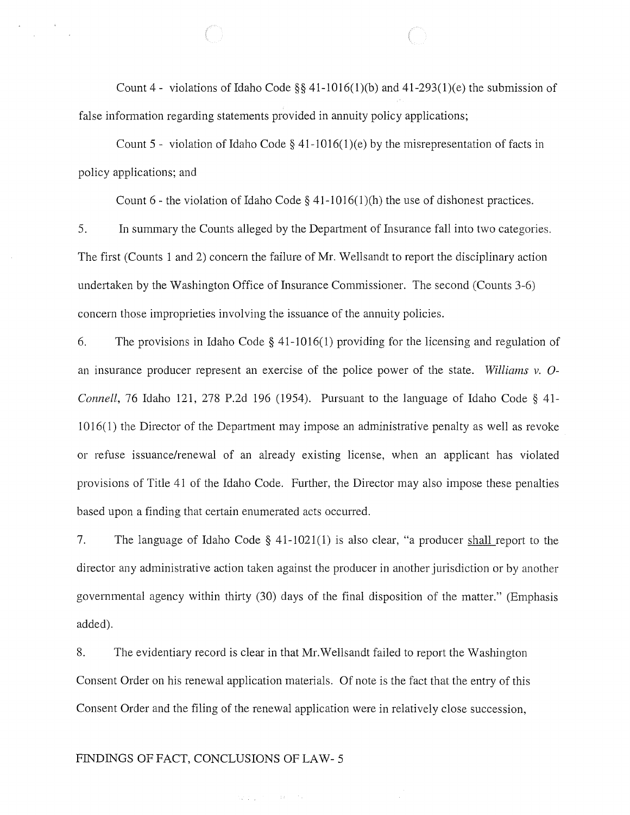Count 4 - violations of Idaho Code §§ 41-1016(1)(b) and 41-293(1)(e) the submission of false information regarding statements provided in annuity policy applications;

Count 5 - violation of Idaho Code § 41-1016(1)(e) by the misrepresentation of facts in policy applications; and

Count 6 - the violation of Idaho Code  $\S$  41-1016(1)(h) the use of dishonest practices.

5. In summary the Counts alleged by the Department of Insurance fall into two categories. The first (Counts 1 and 2) concern the failure of Mr. Wellsandt to report the disciplinary action undertaken by the Washington Office of Insurance Commissioner. The second (Counts 3-6) concern those improprieties involving the issuance of the annuity policies.

6. The provisions in Idaho Code § 41-1016(1) providing for the licensing and regulation of an insurance producer represent an exercise of the police power of the state. *Williams* v. O-*Connell,* 76 Idaho 121, 278 P.2d 196 (1954). Pursuant to the language of Idaho Code § 41- 1016(1) the Director of the Department may impose an administrative penalty as well as revoke or refuse issuance/renewal of an already existing license, when an applicant has violated provisions of Title 41 of the Idaho Code. Further, the Director may also impose these penalties based upon a finding that certain enumerated acts occurred.

7. The language of Idaho Code  $\S$  41-1021(1) is also clear, "a producer shall report to the director any administrative action taken against the producer in another jurisdiction or by another governmental agency within thirty (30) days of the final disposition of the matter." (Emphasis added).

8. The evidentiary record is clear in that Mr.WeIlsandt failed to report the Washington Consent Order on his renewal application materials. Of note is the fact that the entry of this Consent Order and the filing of the renewal application were in relatively close succession,

 $\label{eq:2.1} \frac{1}{2}\frac{1}{4}\left(\frac{1}{4}-\frac{1}{4}\right) = \frac{1}{2}\left(1+\frac{1}{4}\right)\left(\frac{1}{4}-\frac{1}{4}\right) = \frac{1}{2}\left(1+\frac{1}{4}\right)$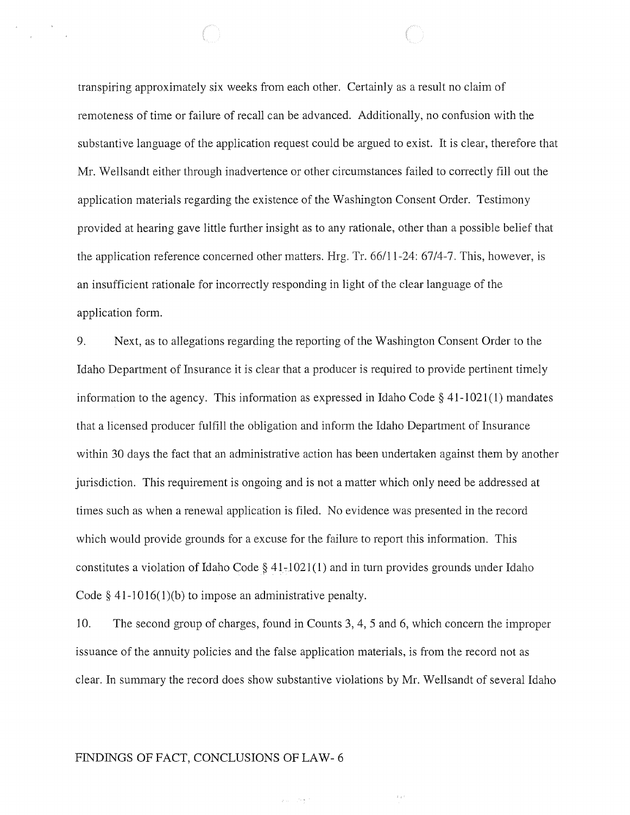transpiring approximately six weeks from each other. Certainly as a result no claim of remoteness of time or failure of recall can be advanced. Additionally, no confusion with the substantive language of the application request could be argued to exist. It is clear, therefore that Mr. Wellsandt either through inadvertence or other circumstances failed to correctly fill out the application materials regarding the existence of the Washington Consent Order. Testimony provided at hearing gave little further insight as to any rationale, other than a possible belief that the application reference concerned other matters. Hrg. Tr. 66/11-24: 67/4-7. This, however, is an insufficient rationale for incorrectly responding in light of the clear language of the application form.

9. Next, as to allegations regarding the reporting of the Washington Consent Order to the Idaho Department of Insurance it is clear that a producer is required to provide pertinent timely information to the agency. This information as expressed in Idaho Code § 41-1021(1) mandates that a licensed producer fulfill the obligation and inform the Idaho Department of Insurance within 30 days the fact that an administrative action has been undertaken against them by another jurisdiction. This requirement is ongoing and is not a matter which only need be addressed at times such as when a renewal application is filed. No evidence was presented in the record which would provide grounds for a excuse for the failure to report this information. This constitutes a violation of Idaho Code §  $41-1021(1)$  and in turn provides grounds under Idaho Code  $\S$  41-1016(1)(b) to impose an administrative penalty.

10. The second group of charges, found in Counts 3, 4, 5 and 6, which concern the improper issuance of the annuity policies and the false application materials, is from the record not as clear. In summary the record does show substantive violations by Mr. Wellsandt of several Idaho

 $\chi_{\rm{eff}}=2\epsilon_{\rm{T}}/r_{\rm{c}}$ 

 $\pm$  ,  $\tau$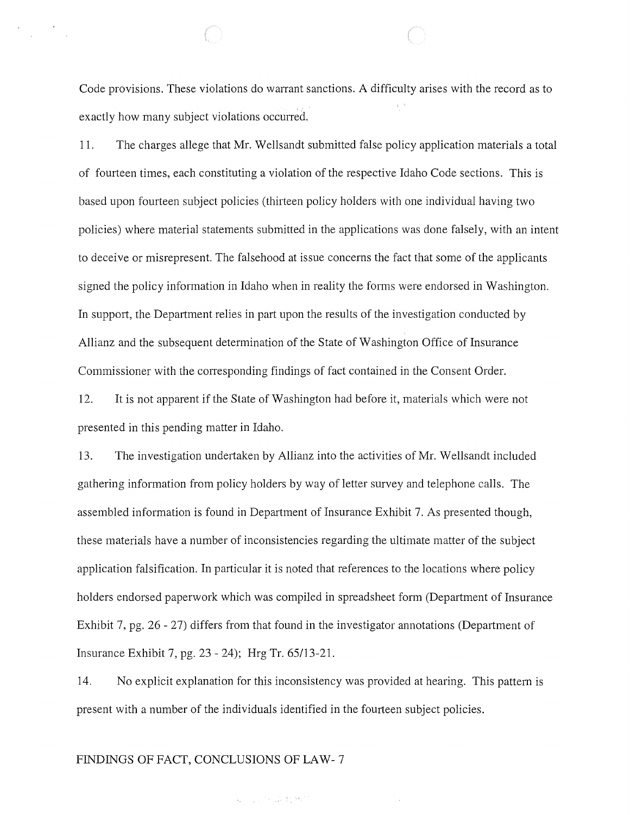Code provisions. These violations do warrant sanctions. A difficulty arises with the record as to exactly how many subject violations occurred.

11. The charges allege that Mr. Wellsandt submitted false policy application materials a total of fourteen times, each constituting a violation of the respective Idaho Code sections. This is based upon fourteen subject policies (thirteen policy holders with one individual having two policies) where material statements submitted in the applications was done falsely, with an intent to deceive or misrepresent. The falsehood at issue concerns the fact that some of the applicants signed the policy information in Idaho when in reality the forms were endorsed in Washington. In support, the Department relies in part upon the results of the investigation conducted by Allianz and the subsequent determination of the State of Washington Office of Insurance Commissioner with the corresponding findings of fact contained in the Consent Order.

12. It is not apparent if the State of Washington had before it, materials which were not presented in this pending matter in Idaho.

13. The investigation undertaken by Allianz into the activities of Mr. Wellsandt included gathering information from policy holders by way of letter survey and telephone calls. The assembled information is found in Department of Insurance Exhibit 7. As presented though, these materials have a number of inconsistencies regarding the ultimate matter of the subject application falsification. In particular it is noted that references to the locations where policy holders endorsed paperwork which was compiled in spreadsheet form (Department of Insurance Exhibit 7, pg. 26 - 27) differs from that found in the investigator annotations (Department of Insurance Exhibit 7, pg. 23 - 24); Hrg Tr. 65/13-21.

14. No explicit explanation for this inconsistency was provided at hearing. This pattern is present with a number of the individuals identified in the fourteen subject policies.

### FINDINGS OF FACT, CONCLUSIONS OF LAW- 7

 $\label{eq:2.1} \mathcal{L}_{\mu\nu} = \left[\begin{smallmatrix} 1 & 0 & 0 \\ 0 & 1 & 0 \end{smallmatrix} \right] \mathcal{L}_{\mu\nu} \left[\begin{smallmatrix} 1 & 0 \\ 0 & 1 \end{smallmatrix} \right] \mathcal{L}_{\mu\nu} \left[\begin{smallmatrix} 1 & 0 \\ 0 & 1 \end{smallmatrix} \right] \mathcal{L}_{\mu\nu}$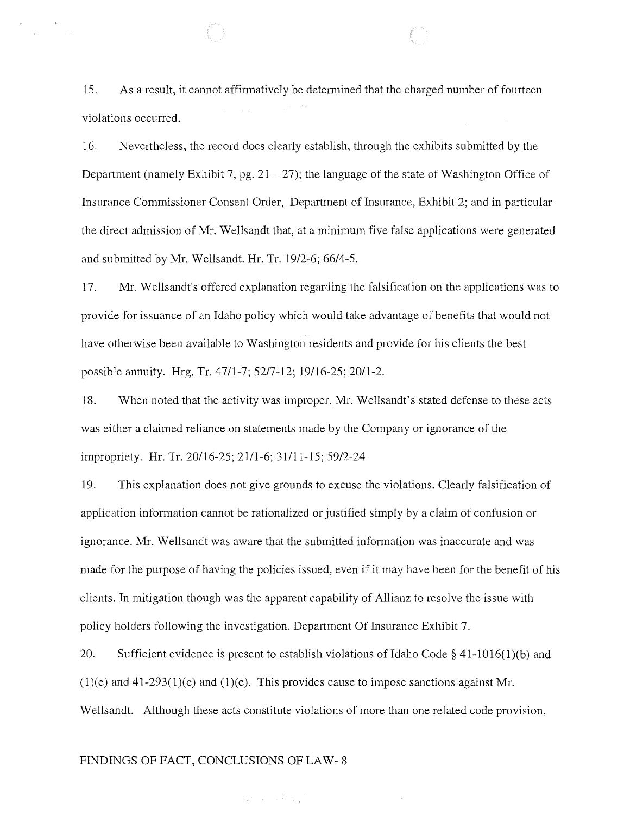15. As a result, it cannot affirmatively be determined that the charged number of fourteen violations occurred.

16. Nevertheless, the record does clearly establish, through the exhibits submitted by the Department (namely Exhibit 7, pg.  $21 - 27$ ); the language of the state of Washington Office of Insurance Commissioner Consent Order, Department of Insurance, Exhibit 2; and in particular the direct admission of Mr. Wellsandt that, at a minimum five false applications were generated and submitted by Mr. Wellsandt. Hr. Tr. *1912-6; 66/4-5.* 

17. Mr. Wellsandt's offered explanation regarding the falsification on the applications was to provide for issuance of an Idaho policy which would take advantage of benefits that would not have otherwise been available to Washington residents and provide for his clients the best possible annuity. Hrg. Tr. 4711-7; 5217-12; 19116-25; 20/1-2.

18. When noted that the activity was improper, Mr. Wellsandt's stated defense to these acts was either a claimed reliance on statements made by the Company or ignorance of the impropriety. Hr. Tr. 20/16-25; 2111-6; 31111-15; 59/2-24.

19. This explanation does not give grounds to excuse the violations. Clearly falsification of application information cannot be rationalized or justified simply by a claim of confusion or ignorance. Mr. Wellsandt was aware that the submitted information was inaccurate and was made for the purpose of having the policies issued, even if it may have been for the benefit of his clients. In mitigation though was the apparent capability of Allianz to resolve the issue with policy holders following the investigation. Department Of Insurance Exhibit 7.

20. Sufficient evidence is present to establish violations of Idaho Code  $\S$  41-1016(1)(b) and  $(1)(e)$  and  $(41-293(1)(c)$  and  $(1)(e)$ . This provides cause to impose sanctions against Mr. Wellsandt. Although these acts constitute violations of more than one related code provision,

#### FINDINGS OF FACT, CONCLUSIONS OF LAW- 8

 $\mathcal{Q}_k^{(1)}$  , and  $\mathcal{Q}_k^{(2)}$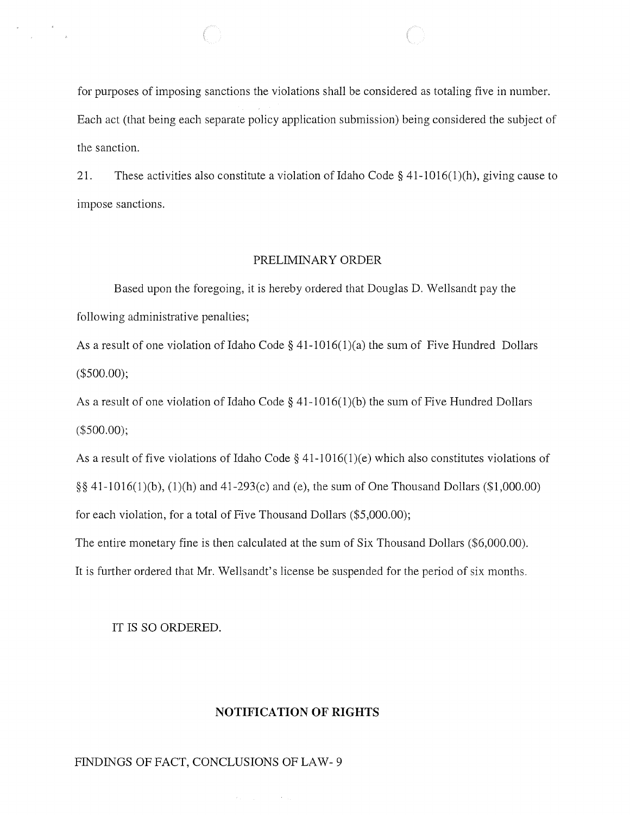for purposes of imposing sanctions the violations shall be considered as totaling five in number. Each act (that being each separate policy application submission) being considered the subject of the sanction.

21. These activities also constitute a violation of Idaho Code  $\S$  41-1016(1)(h), giving cause to impose sanctions.

### PRELIMINARY ORDER

Based upon the foregoing, it is hereby ordered that Douglas D. Wellsandt pay the following administrative penalties;

As a result of one violation of Idaho Code  $\S$  41-1016(1)(a) the sum of Five Hundred Dollars (\$500.00);

As a result of one violation of Idaho Code  $\S$  41-1016(1)(b) the sum of Five Hundred Dollars (\$500.00);

As a result of five violations of Idaho Code  $\S$  41-1016(1)(e) which also constitutes violations of  $\S$ § 41-1016(1)(b), (1)(h) and 41-293(c) and (e), the sum of One Thousand Dollars (\$1,000.00) for each violation, for a total of Five Thousand Dollars (\$5,000.00);

The entire monetary fine is then calculated at the sum of Six Thousand Dollars (\$6,000.00).

It is further ordered that Mr. Wellsandt's license be suspended for the period of six months.

#### IT IS SO ORDERED.

 $\frac{1}{\sqrt{2}}\left( \frac{1}{\sqrt{2}}\right) \frac{1}{\sqrt{2}}\left( \frac{1}{\sqrt{2}}\right) \frac{1}{\sqrt{2}}\left( \frac{1}{\sqrt{2}}\right) \frac{1}{\sqrt{2}}\left( \frac{1}{\sqrt{2}}\right) \frac{1}{\sqrt{2}}\left( \frac{1}{\sqrt{2}}\right) \frac{1}{\sqrt{2}}\left( \frac{1}{\sqrt{2}}\right) \frac{1}{\sqrt{2}}\left( \frac{1}{\sqrt{2}}\right) \frac{1}{\sqrt{2}}\left( \frac{1}{\sqrt{2}}\right) \frac{1}{\sqrt{2}}\left$ 

### **NOTIFICATION OF RIGHTS**

 $\langle\sigma_{\rm{eff}}\rangle_{\rm{eff}}=1.5$  and  $\sigma_{\rm{eff}}=0.01$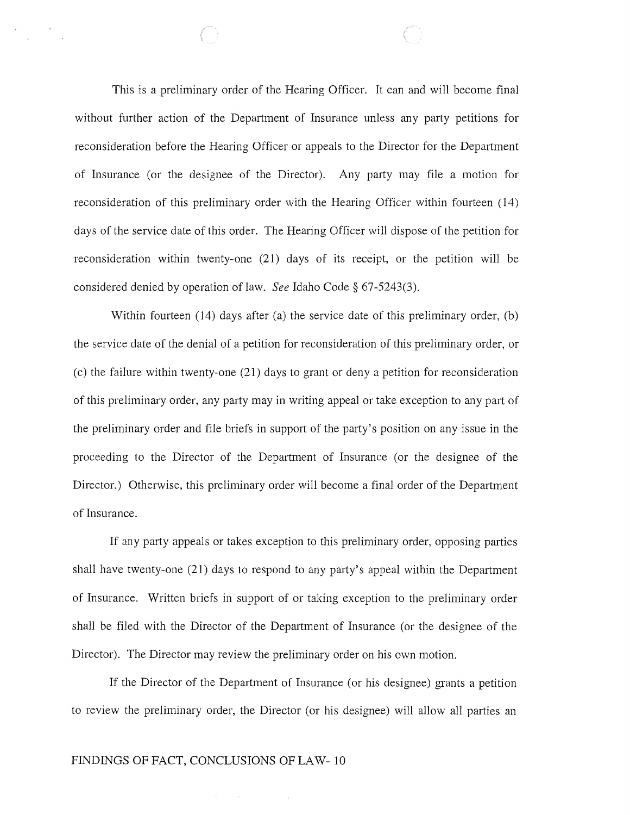This is a preliminary order of the Hearing Officer. It can and will become final without further action of the Department of Insurance unless any party petitions for reconsideration before the Hearing Officer or appeals to the Director for the Department of Insurance (or the designee of the Director). Any party may file a motion for reconsideration of this preliminary order with the Hearing Officer within fourteen (14) days of the service date of this order. The Hearing Officer will dispose of the petition for reconsideration within twenty-one (21) days of its receipt, or the petition will be considered denied by operation of law. *See* Idaho Code § 67-5243(3).

Within fourteen (14) days after (a) the service date of this preliminary order, (b) the service date of the denial of a petition for reconsideration of this preliminary order, or (c) the failure within twenty-one (21) days to grant or deny a petition for reconsideration of this preliminary order, any party may in writing appeal or take exception to any part of the preliminary order and file briefs in support of the party's position on any issue in the proceeding to the Director of the Department of Insurance (or the designee of the Director.) Otherwise, this preliminary order will become a final order of the Department of Insurance.

If any party appeals or takes exception to this preliminary order, opposing parties shall have twenty-one (21) days to respond to any party's appeal within the Department of Insurance. Written briefs in support of or taking exception to the preliminary order shall be filed with the Director of the Department of Insurance (or the designee of the Director). The Director may review the preliminary order on his own motion.

If the Director of the Department of Insurance (or his designee) grants a petition to review the preliminary order, the Director (or his designee) will allow all parties an

### FINDINGS OF FACT, CONCLUSIONS OF LAW-10

 $\mathcal{H}^{\mathcal{A}}(\mathcal{A})$  and  $\mathcal{H}^{\mathcal{A}}(\mathcal{A})$  and  $\mathcal{H}^{\mathcal{A}}(\mathcal{A})$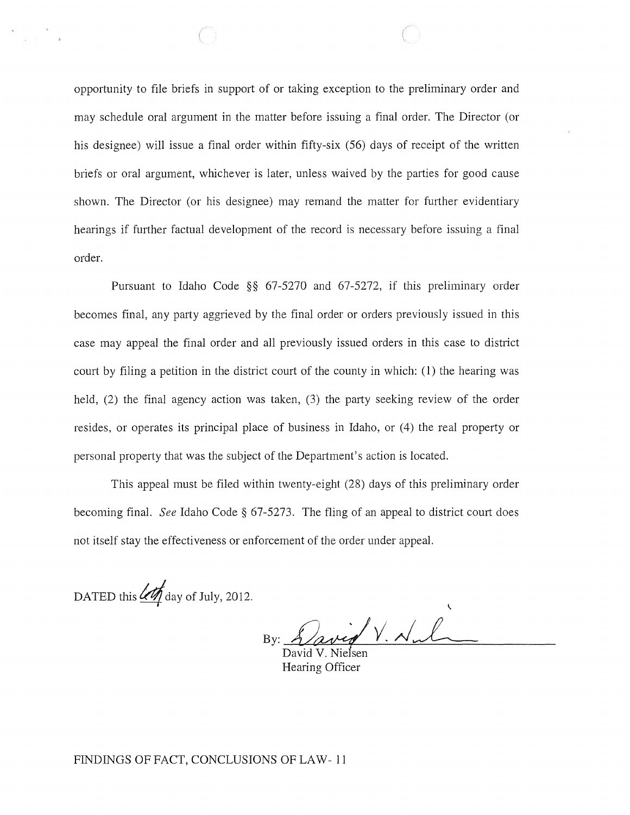opportunity to file briefs in support of or taking exception to the preliminary order and may schedule oral argument in the matter before issuing a final order. The Director (or his designee) will issue a final order within fifty-six (56) days of receipt of the written briefs or oral argument, whichever is later, unless waived by the parties for good cause shown. The Director (or his designee) may remand the matter for further evidentiary hearings if further factual development of the record is necessary before issuing a final order.

Pursuant to Idaho Code §§ 67-5270 and 67-5272, if this preliminary order becomes final, any party aggrieved by the final order or orders previously issued in this case may appeal the final order and all previously issued orders in this case to district court by filing a petition in the district court of the county in which: (1) the hearing was held, (2) the final agency action was taken, (3) the party seeking review of the order resides, or operates its principal place of business in Idaho, or (4) the real property or personal property that was the subject of the Department's action is located.

This appeal must be filed within twenty-eight (28) days of this preliminary order becoming final. *See* Idaho Code § 67-5273. The fling of an appeal to district court does not itself stay the effectiveness or enforcement of the order under appeal.

DATED this  $4\pi$  day of July, 2012.

/ V. <u>N</u>. l.

Hearing Officer